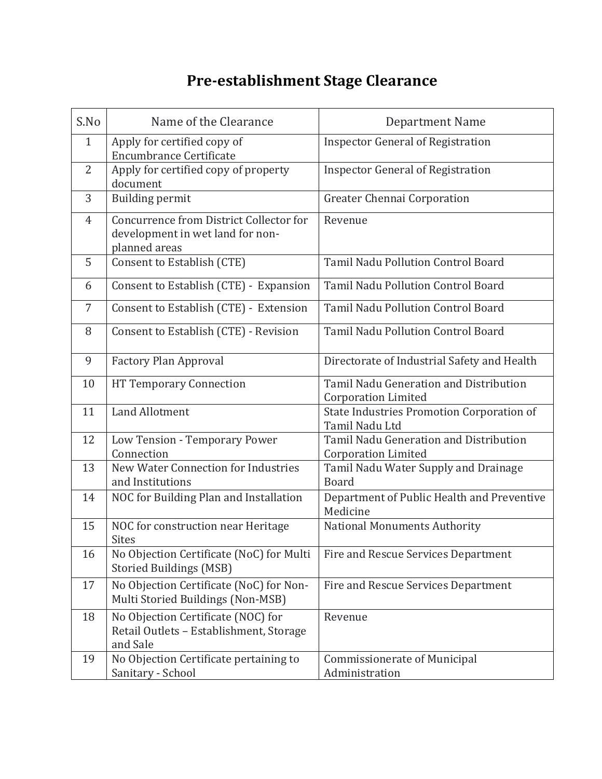## **Pre-establishment Stage Clearance**

| S.No         | Name of the Clearance                                                                        | <b>Department Name</b>                                               |
|--------------|----------------------------------------------------------------------------------------------|----------------------------------------------------------------------|
| $\mathbf{1}$ | Apply for certified copy of<br><b>Encumbrance Certificate</b>                                | <b>Inspector General of Registration</b>                             |
| 2            | Apply for certified copy of property<br>document                                             | <b>Inspector General of Registration</b>                             |
| 3            | <b>Building permit</b>                                                                       | Greater Chennai Corporation                                          |
| 4            | Concurrence from District Collector for<br>development in wet land for non-<br>planned areas | Revenue                                                              |
| 5            | Consent to Establish (CTE)                                                                   | <b>Tamil Nadu Pollution Control Board</b>                            |
| 6            | Consent to Establish (CTE) - Expansion                                                       | <b>Tamil Nadu Pollution Control Board</b>                            |
| 7            | Consent to Establish (CTE) - Extension                                                       | Tamil Nadu Pollution Control Board                                   |
| 8            | Consent to Establish (CTE) - Revision                                                        | <b>Tamil Nadu Pollution Control Board</b>                            |
| 9            | <b>Factory Plan Approval</b>                                                                 | Directorate of Industrial Safety and Health                          |
| 10           | <b>HT Temporary Connection</b>                                                               | Tamil Nadu Generation and Distribution<br><b>Corporation Limited</b> |
| 11           | <b>Land Allotment</b>                                                                        | State Industries Promotion Corporation of<br>Tamil Nadu Ltd          |
| 12           | Low Tension - Temporary Power<br>Connection                                                  | Tamil Nadu Generation and Distribution<br><b>Corporation Limited</b> |
| 13           | New Water Connection for Industries<br>and Institutions                                      | Tamil Nadu Water Supply and Drainage<br><b>Board</b>                 |
| 14           | NOC for Building Plan and Installation                                                       | Department of Public Health and Preventive<br>Medicine               |
| 15           | NOC for construction near Heritage<br><b>Sites</b>                                           | National Monuments Authority                                         |
| 16           | No Objection Certificate (NoC) for Multi<br><b>Storied Buildings (MSB)</b>                   | Fire and Rescue Services Department                                  |
| 17           | No Objection Certificate (NoC) for Non-<br>Multi Storied Buildings (Non-MSB)                 | Fire and Rescue Services Department                                  |
| 18           | No Objection Certificate (NOC) for<br>Retail Outlets - Establishment, Storage<br>and Sale    | Revenue                                                              |
| 19           | No Objection Certificate pertaining to<br>Sanitary - School                                  | Commissionerate of Municipal<br>Administration                       |